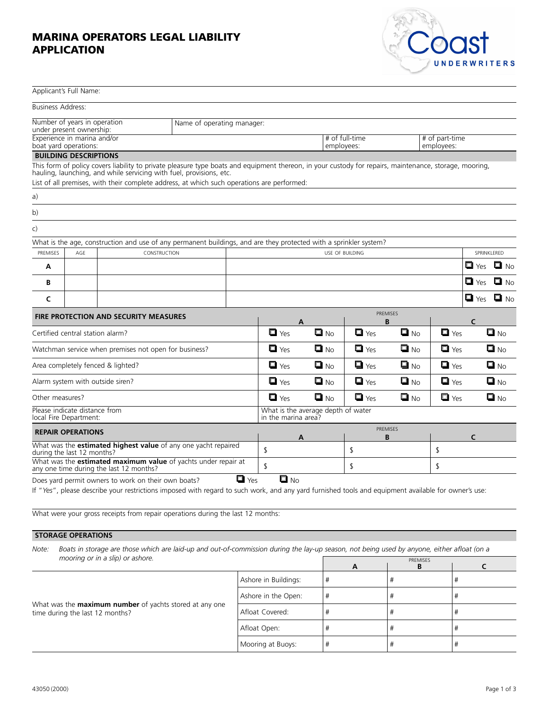## **MARINA OPERATORS LEGAL LIABILITY APPLICATION**



| Applicant's Full Name:                                                                                    |     |                                                                                                                                                                                                                                                                                                                             |                                                           |                    |                                                              |                      |                   |                    |              |                    |           |
|-----------------------------------------------------------------------------------------------------------|-----|-----------------------------------------------------------------------------------------------------------------------------------------------------------------------------------------------------------------------------------------------------------------------------------------------------------------------------|-----------------------------------------------------------|--------------------|--------------------------------------------------------------|----------------------|-------------------|--------------------|--------------|--------------------|-----------|
| <b>Business Address:</b>                                                                                  |     |                                                                                                                                                                                                                                                                                                                             |                                                           |                    |                                                              |                      |                   |                    |              |                    |           |
| Number of years in operation<br>Name of operating manager:<br>under present ownership:                    |     |                                                                                                                                                                                                                                                                                                                             |                                                           |                    |                                                              |                      |                   |                    |              |                    |           |
| Experience in marina and/or<br>boat yard operations:                                                      |     |                                                                                                                                                                                                                                                                                                                             |                                                           |                    | # of full-time<br># of part-time<br>employees:<br>employees: |                      |                   |                    |              |                    |           |
| <b>BUILDING DESCRIPTIONS</b>                                                                              |     |                                                                                                                                                                                                                                                                                                                             |                                                           |                    |                                                              |                      |                   |                    |              |                    |           |
|                                                                                                           |     | This form of policy covers liability to private pleasure type boats and equipment thereon, in your custody for repairs, maintenance, storage, mooring,<br>hauling, launching, and while servicing with fuel, provisions, etc.<br>List of all premises, with their complete address, at which such operations are performed: |                                                           |                    |                                                              |                      |                   |                    |              |                    |           |
| a)                                                                                                        |     |                                                                                                                                                                                                                                                                                                                             |                                                           |                    |                                                              |                      |                   |                    |              |                    |           |
| b)                                                                                                        |     |                                                                                                                                                                                                                                                                                                                             |                                                           |                    |                                                              |                      |                   |                    |              |                    |           |
| c)                                                                                                        |     |                                                                                                                                                                                                                                                                                                                             |                                                           |                    |                                                              |                      |                   |                    |              |                    |           |
|                                                                                                           |     | What is the age, construction and use of any permanent buildings, and are they protected with a sprinkler system?                                                                                                                                                                                                           |                                                           |                    |                                                              |                      |                   |                    |              |                    |           |
| PREMISES                                                                                                  | AGE | CONSTRUCTION                                                                                                                                                                                                                                                                                                                |                                                           |                    | USE OF BUILDING<br>SPRINKLERED                               |                      |                   |                    |              |                    |           |
| A                                                                                                         |     |                                                                                                                                                                                                                                                                                                                             |                                                           |                    | $\blacksquare$ Yes                                           |                      |                   |                    |              | $\blacksquare$ No  |           |
| В                                                                                                         |     |                                                                                                                                                                                                                                                                                                                             |                                                           |                    | $\blacksquare$ Yes                                           |                      |                   |                    |              | $\Box$ No          |           |
| C                                                                                                         |     |                                                                                                                                                                                                                                                                                                                             |                                                           |                    |                                                              |                      |                   |                    |              | $\blacksquare$ Yes | $\Box$ No |
| <b>FIRE PROTECTION AND SECURITY MEASURES</b>                                                              |     |                                                                                                                                                                                                                                                                                                                             |                                                           | A                  |                                                              | <b>PREMISES</b><br>B |                   |                    | $\mathsf{C}$ |                    |           |
| Certified central station alarm?                                                                          |     |                                                                                                                                                                                                                                                                                                                             |                                                           | $\blacksquare$ Yes | $\blacksquare$ No                                            | $\blacksquare$ Yes   | $\Box$ No         | $\blacksquare$ Yes |              | $\blacksquare$ No  |           |
| Watchman service when premises not open for business?                                                     |     |                                                                                                                                                                                                                                                                                                                             |                                                           | $\blacksquare$ Yes | $\Box$ No                                                    | $\blacksquare$ Yes   | $\blacksquare$ No | $\Box$ Yes         |              | $\blacksquare$ No  |           |
| Area completely fenced & lighted?                                                                         |     |                                                                                                                                                                                                                                                                                                                             |                                                           | $\blacksquare$ Yes | $\blacksquare$ No                                            | $\blacksquare$ Yes   | $\blacksquare$ No | $\blacksquare$ Yes |              | $\Box$ No          |           |
| Alarm system with outside siren?                                                                          |     |                                                                                                                                                                                                                                                                                                                             |                                                           | $\blacksquare$ Yes | $\blacksquare$ No                                            | $\Box$ Yes           | $\Box$ No         | $\Box$ Yes         |              | $\blacksquare$ No  |           |
| Other measures?                                                                                           |     |                                                                                                                                                                                                                                                                                                                             |                                                           | $\blacksquare$ Yes | $\blacksquare$ No                                            | $\blacksquare$ Yes   | $\blacksquare$ No | $\blacksquare$ Yes |              | $\Box$ No          |           |
| Please indicate distance from<br>local Fire Department:                                                   |     |                                                                                                                                                                                                                                                                                                                             | What is the average depth of water<br>in the marina area? |                    |                                                              |                      |                   |                    |              |                    |           |
| <b>REPAIR OPERATIONS</b>                                                                                  |     |                                                                                                                                                                                                                                                                                                                             | A                                                         |                    | <b>PREMISES</b><br>B                                         |                      |                   | $\epsilon$         |              |                    |           |
| What was the <b>estimated highest value</b> of any one yacht repaired<br>during the last 12 months?       |     |                                                                                                                                                                                                                                                                                                                             |                                                           | \$                 |                                                              | \$                   |                   | \$                 |              |                    |           |
| What was the estimated maximum value of yachts under repair at<br>any one time during the last 12 months? |     |                                                                                                                                                                                                                                                                                                                             |                                                           | \$                 |                                                              | \$                   |                   | \$                 |              |                    |           |
|                                                                                                           |     | Does yard permit owners to work on their own boats?                                                                                                                                                                                                                                                                         |                                                           | $\blacksquare$ Yes | $\blacksquare$ No                                            |                      |                   |                    |              |                    |           |

If "*Yes*", please describe your restrictions imposed with regard to such work, and any yard furnished tools and equipment available for owner's use:

What were your gross receipts from repair operations during the last 12 months:

## **STORAGE OPERATIONS**

*Note: Boats in storage are those which are laid-up and out-of-commission during the lay-up season, not being used by anyone, either afloat (on a mooring or in a slip) or ashore.* PREMISES *PREMISES* 

|                                                                                                   |                      | A | . . <i>. .</i> |  |
|---------------------------------------------------------------------------------------------------|----------------------|---|----------------|--|
|                                                                                                   | Ashore in Buildings: | # |                |  |
|                                                                                                   | Ashore in the Open:  |   |                |  |
| What was the <b>maximum number</b> of yachts stored at any one<br>time during the last 12 months? | Afloat Covered:      |   |                |  |
|                                                                                                   | Afloat Open:         |   |                |  |
|                                                                                                   | Mooring at Buoys:    |   |                |  |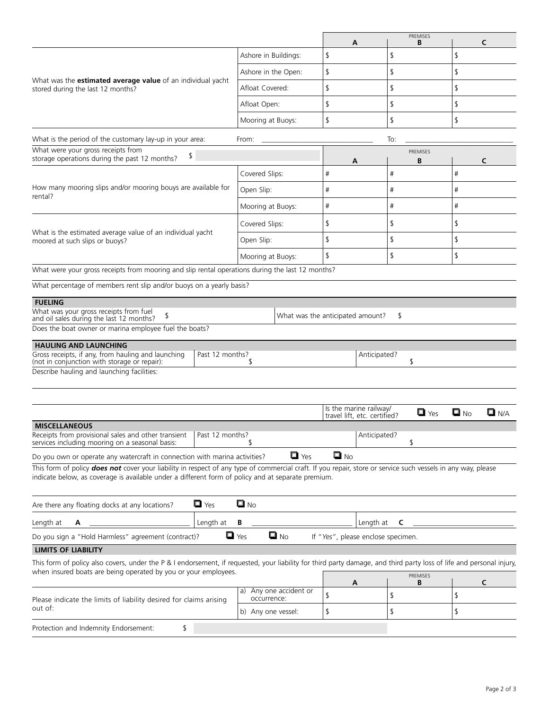|                                                                                                                                                                                                                                                                     |                                                             |                                 | A                 |                                        | PREMISES<br>B      |                   | C                  |  |
|---------------------------------------------------------------------------------------------------------------------------------------------------------------------------------------------------------------------------------------------------------------------|-------------------------------------------------------------|---------------------------------|-------------------|----------------------------------------|--------------------|-------------------|--------------------|--|
|                                                                                                                                                                                                                                                                     |                                                             | Ashore in Buildings:            | \$                | \$                                     |                    | \$                |                    |  |
|                                                                                                                                                                                                                                                                     |                                                             | Ashore in the Open:             | \$                |                                        | \$                 | \$                |                    |  |
| What was the estimated average value of an individual yacht<br>stored during the last 12 months?                                                                                                                                                                    | Afloat Covered:                                             | \$                              | \$                |                                        | \$                 |                   |                    |  |
|                                                                                                                                                                                                                                                                     | Afloat Open:                                                | \$                              | \$                |                                        | \$                 |                   |                    |  |
|                                                                                                                                                                                                                                                                     | Mooring at Buoys:                                           | \$                              | \$                |                                        | \$                 |                   |                    |  |
| What is the period of the customary lay-up in your area:                                                                                                                                                                                                            |                                                             | From:                           |                   | To:                                    |                    |                   |                    |  |
| What were your gross receipts from                                                                                                                                                                                                                                  |                                                             |                                 |                   |                                        | <b>PREMISES</b>    |                   |                    |  |
| \$<br>storage operations during the past 12 months?                                                                                                                                                                                                                 |                                                             |                                 | A                 |                                        | B                  |                   | C                  |  |
|                                                                                                                                                                                                                                                                     |                                                             | Covered Slips:                  | #                 | #                                      |                    | #                 |                    |  |
| How many mooring slips and/or mooring bouys are available for<br>rental?                                                                                                                                                                                            |                                                             | Open Slip:                      | #                 |                                        | #                  | #                 |                    |  |
|                                                                                                                                                                                                                                                                     |                                                             | Mooring at Buoys:               | #                 |                                        | #                  | #                 |                    |  |
| What is the estimated average value of an individual yacht                                                                                                                                                                                                          |                                                             | Covered Slips:                  | \$                |                                        | \$                 | \$                |                    |  |
| moored at such slips or buoys?                                                                                                                                                                                                                                      |                                                             | Open Slip:                      | \$                |                                        | \$                 | \$                |                    |  |
|                                                                                                                                                                                                                                                                     |                                                             | \$<br>Mooring at Buoys:         |                   | \$                                     |                    | \$                |                    |  |
| What were your gross receipts from mooring and slip rental operations during the last 12 months?                                                                                                                                                                    |                                                             |                                 |                   |                                        |                    |                   |                    |  |
| What percentage of members rent slip and/or buoys on a yearly basis?                                                                                                                                                                                                |                                                             |                                 |                   |                                        |                    |                   |                    |  |
| Does the boat owner or marina employee fuel the boats?<br><b>HAULING AND LAUNCHING</b><br>Gross receipts, if any, from hauling and launching<br>(not in conjunction with storage or repair):<br>Describe hauling and launching facilities:                          | Past 12 months?                                             | -S                              |                   | Anticipated?<br>Is the marine railway/ | \$                 |                   |                    |  |
| <b>MISCELLANEOUS</b>                                                                                                                                                                                                                                                |                                                             |                                 |                   | travel lift, etc. certified?           | $\blacksquare$ Yes | $\blacksquare$ No | $\blacksquare$ N/A |  |
| Receipts from provisional sales and other transient   Past 12 months?<br>services including mooring on a seasonal basis:                                                                                                                                            |                                                             |                                 |                   | Anticipated?<br>\$                     |                    |                   |                    |  |
| Do you own or operate any watercraft in connection with marina activities?                                                                                                                                                                                          |                                                             | $\blacksquare$ Yes              | $\blacksquare$ No |                                        |                    |                   |                    |  |
| This form of policy does not cover your liability in respect of any type of commercial craft. If you repair, store or service such vessels in any way, please<br>indicate below, as coverage is available under a different form of policy and at separate premium. |                                                             |                                 |                   |                                        |                    |                   |                    |  |
| Are there any floating docks at any locations?                                                                                                                                                                                                                      | $\blacksquare$ Yes                                          | $\blacksquare$ No               |                   |                                        |                    |                   |                    |  |
| Length at<br>А                                                                                                                                                                                                                                                      | Length at                                                   | В                               |                   | Length at<br>C                         |                    |                   |                    |  |
| Do you sign a "Hold Harmless" agreement (contract)?                                                                                                                                                                                                                 |                                                             | $\blacksquare$ No<br>$\Box$ Yes |                   | If "Yes", please enclose specimen.     |                    |                   |                    |  |
| <b>LIMITS OF LIABILITY</b>                                                                                                                                                                                                                                          |                                                             |                                 |                   |                                        |                    |                   |                    |  |
| This form of policy also covers, under the P & I endorsement, if requested, your liability for third party damage, and third party loss of life and personal injury,<br>when insured boats are being operated by you or your employees.                             |                                                             |                                 |                   |                                        |                    |                   |                    |  |
|                                                                                                                                                                                                                                                                     |                                                             |                                 | A                 |                                        | PREMISES<br>B      |                   | C                  |  |
| Please indicate the limits of liability desired for claims arising<br>out of:                                                                                                                                                                                       | a) Any one accident or<br>occurrence:<br>b) Any one vessel: | \$<br>\$                        | \$<br>\$          |                                        | \$<br>\$           |                   |                    |  |
| Protection and Indemnity Endorsement:<br>\$                                                                                                                                                                                                                         |                                                             |                                 |                   |                                        |                    |                   |                    |  |
|                                                                                                                                                                                                                                                                     |                                                             |                                 |                   |                                        |                    |                   |                    |  |
|                                                                                                                                                                                                                                                                     |                                                             |                                 |                   |                                        |                    |                   |                    |  |